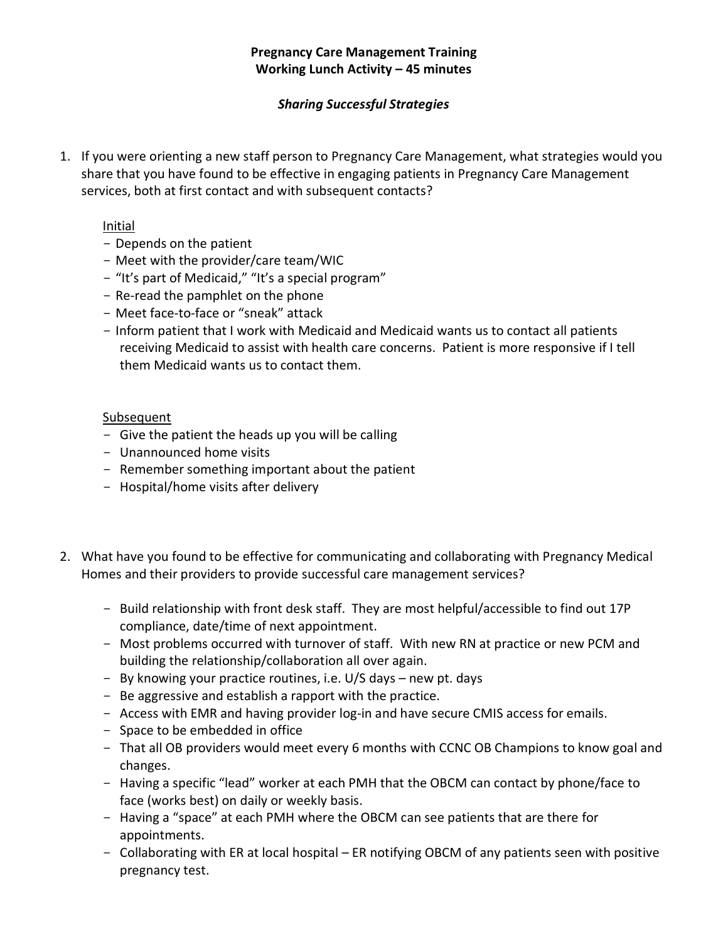# *Sharing Successful Strategies*

1. If you were orienting a new staff person to Pregnancy Care Management, what strategies would you share that you have found to be effective in engaging patients in Pregnancy Care Management services, both at first contact and with subsequent contacts?

### Initial

- Depends on the patient
- Meet with the provider/care team/WIC
- "It's part of Medicaid," "It's a special program"
- Re-read the pamphlet on the phone
- Meet face-to-face or "sneak" attack
- Inform patient that I work with Medicaid and Medicaid wants us to contact all patients receiving Medicaid to assist with health care concerns. Patient is more responsive if I tell them Medicaid wants us to contact them.

### **Subsequent**

- Give the patient the heads up you will be calling
- Unannounced home visits
- Remember something important about the patient
- Hospital/home visits after delivery
- 2. What have you found to be effective for communicating and collaborating with Pregnancy Medical Homes and their providers to provide successful care management services?
	- Build relationship with front desk staff. They are most helpful/accessible to find out 17P compliance, date/time of next appointment.
	- Most problems occurred with turnover of staff. With new RN at practice or new PCM and building the relationship/collaboration all over again.
	- By knowing your practice routines, i.e. U/S days new pt. days
	- Be aggressive and establish a rapport with the practice.
	- Access with EMR and having provider log-in and have secure CMIS access for emails.
	- Space to be embedded in office
	- That all OB providers would meet every 6 months with CCNC OB Champions to know goal and changes.
	- Having a specific "lead" worker at each PMH that the OBCM can contact by phone/face to face (works best) on daily or weekly basis.
	- Having a "space" at each PMH where the OBCM can see patients that are there for appointments.
	- Collaborating with ER at local hospital ER notifying OBCM of any patients seen with positive pregnancy test.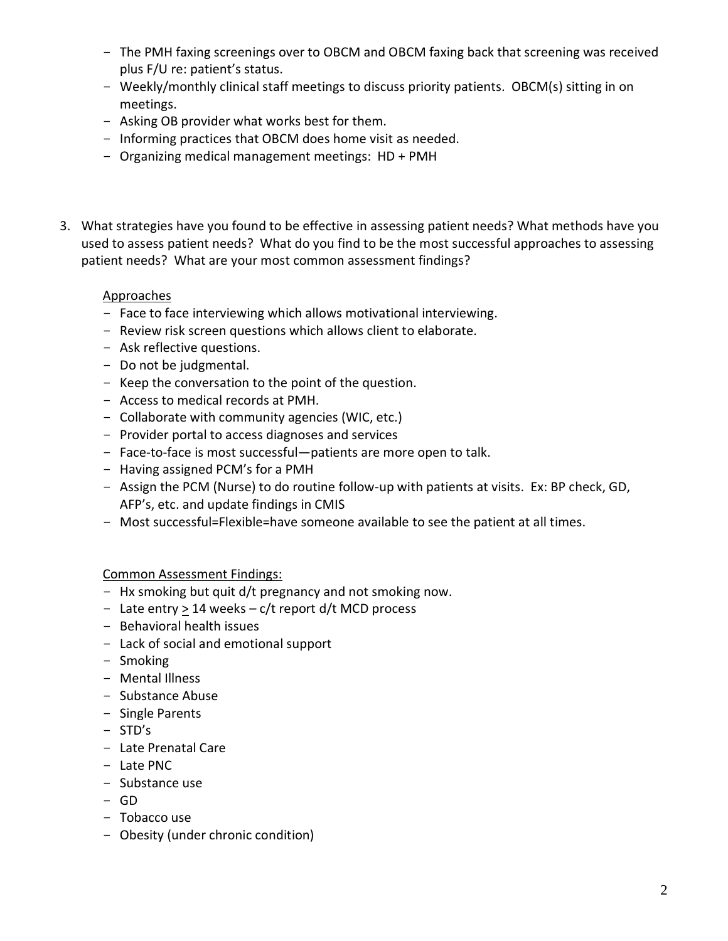- The PMH faxing screenings over to OBCM and OBCM faxing back that screening was received plus F/U re: patient's status.
- Weekly/monthly clinical staff meetings to discuss priority patients. OBCM(s) sitting in on meetings.
- Asking OB provider what works best for them.
- Informing practices that OBCM does home visit as needed.
- Organizing medical management meetings: HD + PMH
- 3. What strategies have you found to be effective in assessing patient needs? What methods have you used to assess patient needs? What do you find to be the most successful approaches to assessing patient needs? What are your most common assessment findings?

# Approaches

- Face to face interviewing which allows motivational interviewing.
- Review risk screen questions which allows client to elaborate.
- Ask reflective questions.
- Do not be judgmental.
- Keep the conversation to the point of the question.
- Access to medical records at PMH.
- Collaborate with community agencies (WIC, etc.)
- Provider portal to access diagnoses and services
- Face-to-face is most successful—patients are more open to talk.
- Having assigned PCM's for a PMH
- Assign the PCM (Nurse) to do routine follow-up with patients at visits. Ex: BP check, GD, AFP's, etc. and update findings in CMIS
- Most successful=Flexible=have someone available to see the patient at all times.

# Common Assessment Findings:

- Hx smoking but quit d/t pregnancy and not smoking now.
- Late entry > 14 weeks c/t report d/t MCD process
- Behavioral health issues
- Lack of social and emotional support
- Smoking
- Mental Illness
- Substance Abuse
- Single Parents
- STD's
- Late Prenatal Care
- Late PNC
- Substance use
- $-$  GD
- Tobacco use
- Obesity (under chronic condition)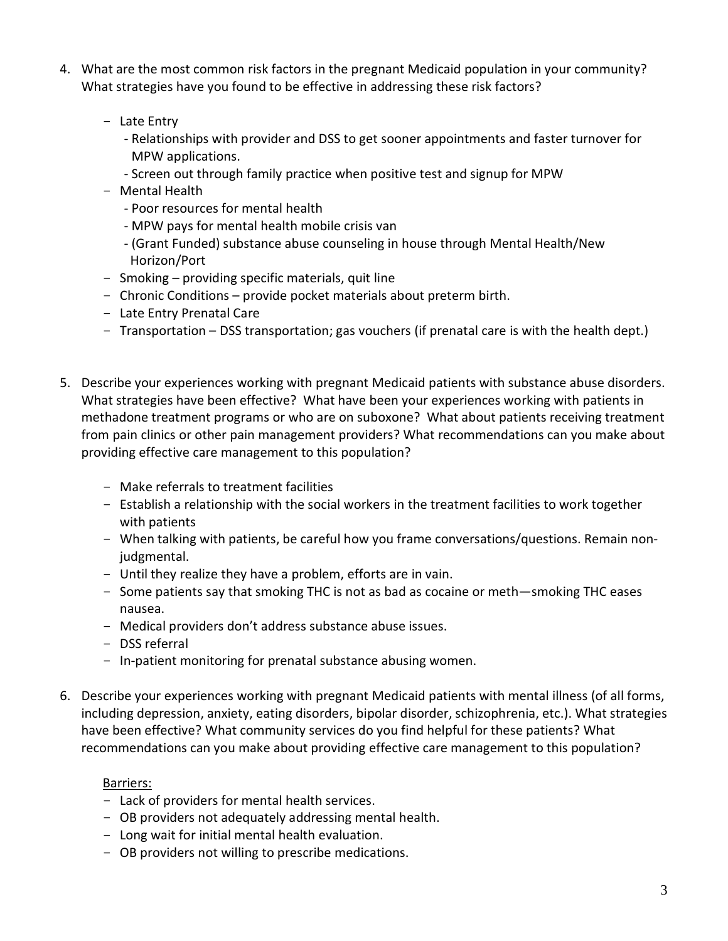- 4. What are the most common risk factors in the pregnant Medicaid population in your community? What strategies have you found to be effective in addressing these risk factors?
	- Late Entry
		- Relationships with provider and DSS to get sooner appointments and faster turnover for MPW applications.
		- Screen out through family practice when positive test and signup for MPW
	- Mental Health
		- Poor resources for mental health
		- MPW pays for mental health mobile crisis van
		- (Grant Funded) substance abuse counseling in house through Mental Health/New Horizon/Port
	- Smoking providing specific materials, quit line
	- Chronic Conditions provide pocket materials about preterm birth.
	- Late Entry Prenatal Care
	- Transportation DSS transportation; gas vouchers (if prenatal care is with the health dept.)
- 5. Describe your experiences working with pregnant Medicaid patients with substance abuse disorders. What strategies have been effective? What have been your experiences working with patients in methadone treatment programs or who are on suboxone? What about patients receiving treatment from pain clinics or other pain management providers? What recommendations can you make about providing effective care management to this population?
	- Make referrals to treatment facilities
	- Establish a relationship with the social workers in the treatment facilities to work together with patients
	- When talking with patients, be careful how you frame conversations/questions. Remain nonjudgmental.
	- Until they realize they have a problem, efforts are in vain.
	- Some patients say that smoking THC is not as bad as cocaine or meth—smoking THC eases nausea.
	- Medical providers don't address substance abuse issues.
	- DSS referral
	- In-patient monitoring for prenatal substance abusing women.
- 6. Describe your experiences working with pregnant Medicaid patients with mental illness (of all forms, including depression, anxiety, eating disorders, bipolar disorder, schizophrenia, etc.). What strategies have been effective? What community services do you find helpful for these patients? What recommendations can you make about providing effective care management to this population?

# Barriers:

- Lack of providers for mental health services.
- OB providers not adequately addressing mental health.
- Long wait for initial mental health evaluation.
- OB providers not willing to prescribe medications.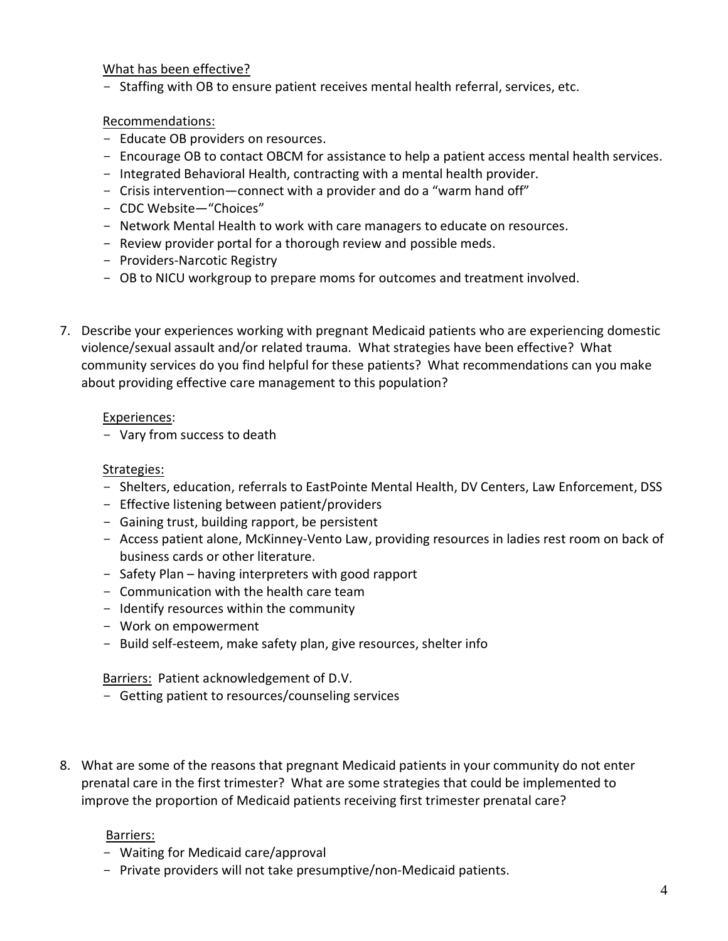What has been effective?

- Staffing with OB to ensure patient receives mental health referral, services, etc.

Recommendations:

- Educate OB providers on resources.
- Encourage OB to contact OBCM for assistance to help a patient access mental health services.
- Integrated Behavioral Health, contracting with a mental health provider.
- Crisis intervention—connect with a provider and do a "warm hand off"
- CDC Website-"Choices"
- Network Mental Health to work with care managers to educate on resources.
- Review provider portal for a thorough review and possible meds.
- Providers-Narcotic Registry
- OB to NICU workgroup to prepare moms for outcomes and treatment involved.
- 7. Describe your experiences working with pregnant Medicaid patients who are experiencing domestic violence/sexual assault and/or related trauma. What strategies have been effective? What community services do you find helpful for these patients? What recommendations can you make about providing effective care management to this population?

#### Experiences:

- Vary from success to death

### Strategies:

- Shelters, education, referrals to EastPointe Mental Health, DV Centers, Law Enforcement, DSS
- Effective listening between patient/providers
- Gaining trust, building rapport, be persistent
- Access patient alone, McKinney-Vento Law, providing resources in ladies rest room on back of business cards or other literature.
- Safety Plan having interpreters with good rapport
- Communication with the health care team
- Identify resources within the community
- Work on empowerment
- Build self-esteem, make safety plan, give resources, shelter info

Barriers: Patient acknowledgement of D.V.

- Getting patient to resources/counseling services
- 8. What are some of the reasons that pregnant Medicaid patients in your community do not enter prenatal care in the first trimester? What are some strategies that could be implemented to improve the proportion of Medicaid patients receiving first trimester prenatal care?

#### Barriers:

- Waiting for Medicaid care/approval
- Private providers will not take presumptive/non-Medicaid patients.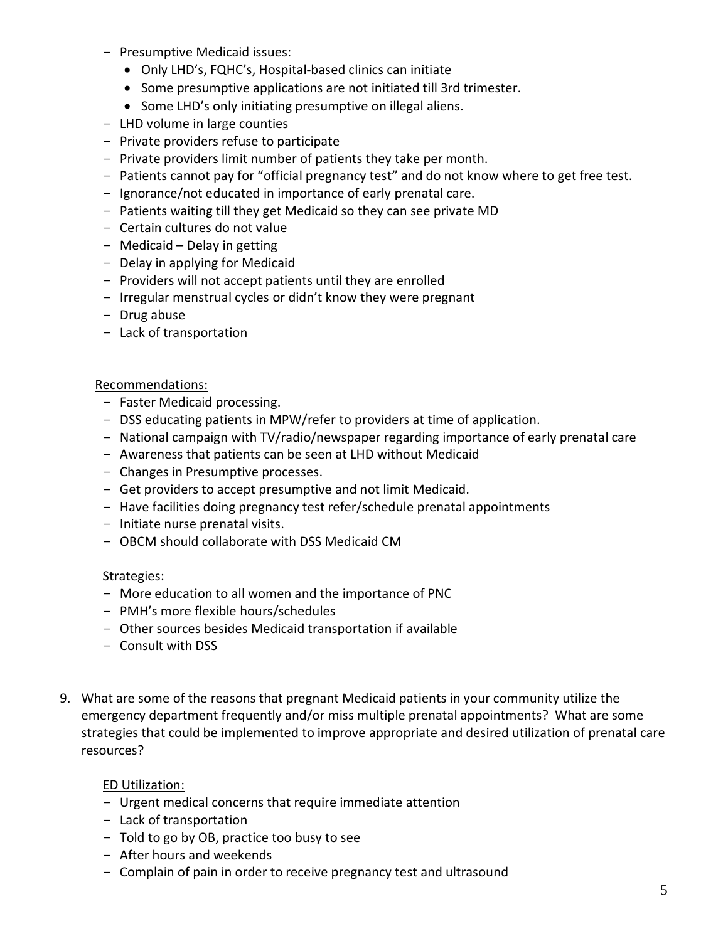- Presumptive Medicaid issues:
	- · Only LHD's, FQHC's, Hospital-based clinics can initiate
	- · Some presumptive applications are not initiated till 3rd trimester.
	- · Some LHD's only initiating presumptive on illegal aliens.
- LHD volume in large counties
- Private providers refuse to participate
- Private providers limit number of patients they take per month.
- Patients cannot pay for "official pregnancy test" and do not know where to get free test.
- Ignorance/not educated in importance of early prenatal care.
- Patients waiting till they get Medicaid so they can see private MD
- Certain cultures do not value
- Medicaid Delay in getting
- Delay in applying for Medicaid
- Providers will not accept patients until they are enrolled
- Irregular menstrual cycles or didn't know they were pregnant
- Drug abuse
- Lack of transportation

#### Recommendations:

- Faster Medicaid processing.
- DSS educating patients in MPW/refer to providers at time of application.
- National campaign with TV/radio/newspaper regarding importance of early prenatal care
- Awareness that patients can be seen at LHD without Medicaid
- Changes in Presumptive processes.
- Get providers to accept presumptive and not limit Medicaid.
- Have facilities doing pregnancy test refer/schedule prenatal appointments
- Initiate nurse prenatal visits.
- OBCM should collaborate with DSS Medicaid CM

#### Strategies:

- More education to all women and the importance of PNC
- PMH's more flexible hours/schedules
- Other sources besides Medicaid transportation if available
- Consult with DSS
- 9. What are some of the reasons that pregnant Medicaid patients in your community utilize the emergency department frequently and/or miss multiple prenatal appointments? What are some strategies that could be implemented to improve appropriate and desired utilization of prenatal care resources?

#### ED Utilization:

- Urgent medical concerns that require immediate attention
- Lack of transportation
- Told to go by OB, practice too busy to see
- After hours and weekends
- Complain of pain in order to receive pregnancy test and ultrasound